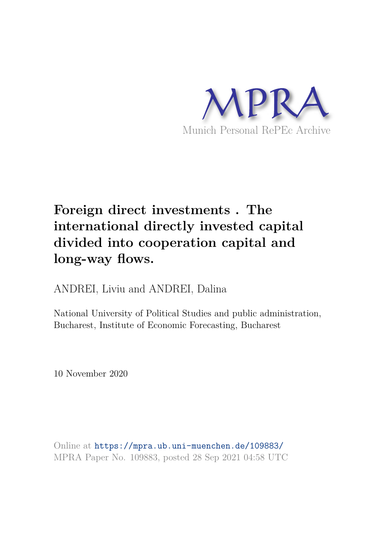

# **Foreign direct investments . The international directly invested capital divided into cooperation capital and long-way flows.**

ANDREI, Liviu and ANDREI, Dalina

National University of Political Studies and public administration, Bucharest, Institute of Economic Forecasting, Bucharest

10 November 2020

Online at https://mpra.ub.uni-muenchen.de/109883/ MPRA Paper No. 109883, posted 28 Sep 2021 04:58 UTC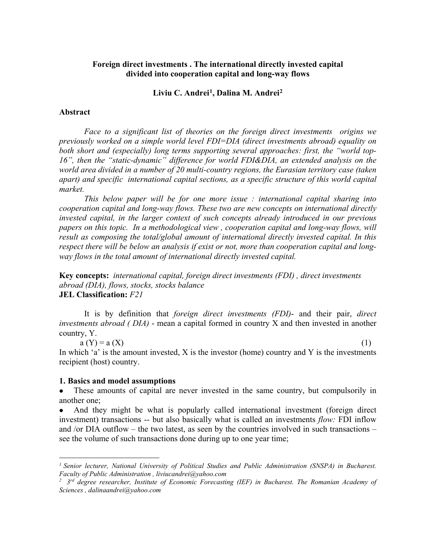## **Foreign direct investments . The international directly invested capital divided into cooperation capital and long-way flows**

## **Liviu C. Andrei[1](#page-1-0) , Dalina M. Andrei[2](#page-1-1)**

#### **Abstract**

*Face to a significant list of theories on the foreign direct investments origins we previously worked on a simple world level FDI=DIA (direct investments abroad) equality on both short and (especially) long terms supporting several approaches: first, the "world top-16", then the "static-dynamic" difference for world FDI&DIA, an extended analysis on the world area divided in a number of 20 multi-country regions, the Eurasian territory case (taken apart) and specific international capital sections, as a specific structure of this world capital market.* 

*This below paper will be for one more issue : international capital sharing into cooperation capital and long-way flows. These two are new concepts on international directly invested capital, in the larger context of such concepts already introduced in our previous papers on this topic. In a methodological view , cooperation capital and long-way flows, will result as composing the total/global amount of international directly invested capital. In this respect there will be below an analysis if exist or not, more than cooperation capital and longway flows in the total amount of international directly invested capital.*

**Key concepts:** *international capital, foreign direct investments (FDI) , direct investments abroad (DIA), flows, stocks, stocks balance* **JEL Classification:** *F21*

It is by definition that *foreign direct investments (FDI)*- and their pair, *direct investments abroad ( DIA)* - mean a capital formed in country X and then invested in another country, Y.

 $a(Y) = a(X)$  (1) In which  $a'$  is the amount invested, X is the investor (home) country and Y is the investments recipient (host) country.

#### **1. Basics and model assumptions**

 $\overline{a}$ 

 These amounts of capital are never invested in the same country, but compulsorily in another one;

 And they might be what is popularly called international investment (foreign direct investment) transactions -- but also basically what is called an investments *flow:* FDI inflow and /or DIA outflow – the two latest, as seen by the countries involved in such transactions – see the volume of such transactions done during up to one year time;

<span id="page-1-0"></span>*<sup>1</sup> Senior lecturer, National University of Political Studies and Public Administration (SNSPA) in Bucharest. Faculty of Public Administration , liviucandrei@yahoo.com*

<span id="page-1-1"></span>*<sup>2</sup> 3rd degree researcher, Institute of Economic Forecasting (IEF) in Bucharest. The Romanian Academy of Sciences , dalinaandrei@yahoo.com*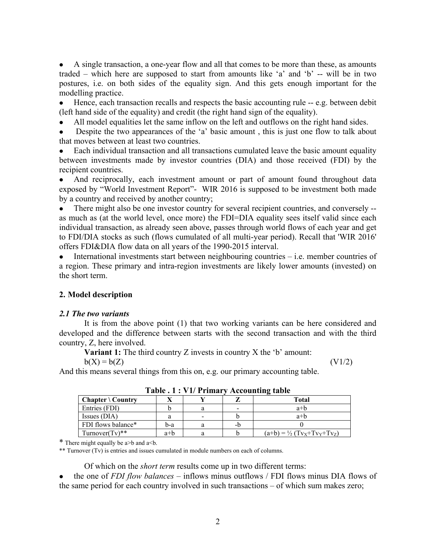A single transaction, a one-year flow and all that comes to be more than these, as amounts traded – which here are supposed to start from amounts like 'a' and 'b' -- will be in two postures, i.e. on both sides of the equality sign. And this gets enough important for the modelling practice.

 Hence, each transaction recalls and respects the basic accounting rule -- e.g. between debit (left hand side of the equality) and credit (the right hand sign of the equality).

All model equalities let the same inflow on the left and outflows on the right hand sides.

 Despite the two appearances of the 'a' basic amount , this is just one flow to talk about that moves between at least two countries.

 Each individual transaction and all transactions cumulated leave the basic amount equality between investments made by investor countries (DIA) and those received (FDI) by the recipient countries.

 And reciprocally, each investment amount or part of amount found throughout data exposed by "World Investment Report"- WIR 2016 is supposed to be investment both made by a country and received by another country;

 There might also be one investor country for several recipient countries, and conversely - as much as (at the world level, once more) the FDI=DIA equality sees itself valid since each individual transaction, as already seen above, passes through world flows of each year and get to FDI/DIA stocks as such (flows cumulated of all multi-year period). Recall that 'WIR 2016' offers FDI&DIA flow data on all years of the 1990-2015 interval.

 $\bullet$  International investments start between neighbouring countries – i.e. member countries of a region. These primary and intra-region investments are likely lower amounts (invested) on the short term.

# **2. Model description**

## *2.1 The two variants*

It is from the above point (1) that two working variants can be here considered and developed and the difference between starts with the second transaction and with the third country, Z, here involved.

**Variant 1:** The third country Z invests in country X the 'b' amount:

 $b(X) = b(Z)$  (V1/2)

And this means several things from this on, e.g. our primary accounting table.

| Treodheine andré             |       |                          |    |                                            |  |  |  |  |  |  |
|------------------------------|-------|--------------------------|----|--------------------------------------------|--|--|--|--|--|--|
| $Chapter \backslash Country$ |       |                          |    | Total                                      |  |  |  |  |  |  |
| Entries (FDI)                |       |                          |    | $a+b$                                      |  |  |  |  |  |  |
| Issues (DIA)                 |       | $\overline{\phantom{0}}$ |    | $a+b$                                      |  |  |  |  |  |  |
| FDI flows balance*           | b-a   |                          | -b |                                            |  |  |  |  |  |  |
| Turnover $(Tv)$ **           | $a+b$ |                          |    | $(a+b) = \frac{1}{2} (Tv_X + Tv_Y + Tv_Z)$ |  |  |  |  |  |  |

**Table . 1 : V1/ Primary Accounting table**

\* There might equally be a>b and a<b.

\*\* Turnover (Tv) is entries and issues cumulated in module numbers on each of columns.

Of which on the *short term* results come up in two different terms:

 the one of *FDI flow balances* – inflows minus outflows / FDI flows minus DIA flows of the same period for each country involved in such transactions – of which sum makes zero;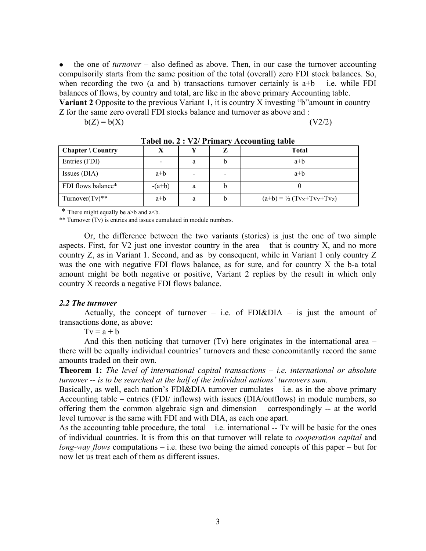the one of *turnover* – also defined as above. Then, in our case the turnover accounting compulsorily starts from the same position of the total (overall) zero FDI stock balances. So, when recording the two (a and b) transactions turnover certainly is  $a+b - i.e.$  while FDI balances of flows, by country and total, are like in the above primary Accounting table. **Variant 2** Opposite to the previous Variant 1, it is country X investing "b"amount in country Z for the same zero overall FDI stocks balance and turnover as above and :

 $b(Z) = b(X)$  (V2/2)

| <b>Chapter</b> \ Country |          |   |   | <b>Total</b>                               |
|--------------------------|----------|---|---|--------------------------------------------|
| Entries (FDI)            |          | а |   | $a+b$                                      |
| Issues (DIA)             | $a+b$    | - |   | $a+b$                                      |
| FDI flows balance*       | $-(a+b)$ | a | b |                                            |
| Turnover $(Tv)$ **       | $a+b$    | a |   | $(a+b) = \frac{1}{2} (Tv_X + Tv_Y + Tv_Z)$ |

**Tabel no. 2 : V2/ Primary Accounting table**

\* There might equally be a>b and a<b.

\*\* Turnover (Tv) is entries and issues cumulated in module numbers.

Or, the difference between the two variants (stories) is just the one of two simple aspects. First, for  $V2$  just one investor country in the area – that is country X, and no more country Z, as in Variant 1. Second, and as by consequent, while in Variant 1 only country Z was the one with negative FDI flows balance, as for sure, and for country X the b-a total amount might be both negative or positive, Variant 2 replies by the result in which only country X records a negative FDI flows balance.

#### *2.2 The turnover*

Actually, the concept of turnover – i.e. of FDI&DIA – is just the amount of transactions done, as above:

 $Tv = a + b$ 

And this then noticing that turnover  $(Tv)$  here originates in the international area – there will be equally individual countries' turnovers and these concomitantly record the same amounts traded on their own.

**Theorem 1:** *The level of international capital transactions – i.e. international or absolute turnover -- is to be searched at the half of the individual nations' turnovers sum.* 

Basically, as well, each nation's FDI&DIA turnover cumulates  $-$  i.e. as in the above primary Accounting table – entries (FDI/ inflows) with issues (DIA/outflows) in module numbers, so offering them the common algebraic sign and dimension – correspondingly -- at the world level turnover is the same with FDI and with DIA, as each one apart.

As the accounting table procedure, the total  $-$  i.e. international  $-$  Tv will be basic for the ones of individual countries. It is from this on that turnover will relate to *cooperation capital* and *long-way flows* computations – i.e. these two being the aimed concepts of this paper – but for now let us treat each of them as different issues.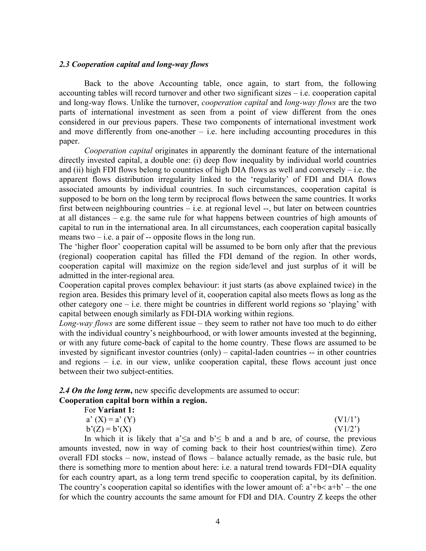#### *2.3 Cooperation capital and long-way flows*

Back to the above Accounting table, once again, to start from, the following accounting tables will record turnover and other two significant sizes – i.e. cooperation capital and long-way flows. Unlike the turnover, *cooperation capital* and *long-way flows* are the two parts of international investment as seen from a point of view different from the ones considered in our previous papers. These two components of international investment work and move differently from one-another  $-$  i.e. here including accounting procedures in this paper.

*Cooperation capital* originates in apparently the dominant feature of the international directly invested capital, a double one: (i) deep flow inequality by individual world countries and (ii) high FDI flows belong to countries of high DIA flows as well and conversely – i.e. the apparent flows distribution irregularity linked to the 'regularity' of FDI and DIA flows associated amounts by individual countries. In such circumstances, cooperation capital is supposed to be born on the long term by reciprocal flows between the same countries. It works first between neighbouring countries – i.e. at regional level --, but later on between countries at all distances – e.g. the same rule for what happens between countries of high amounts of capital to run in the international area. In all circumstances, each cooperation capital basically means two  $-$  i.e. a pair of  $-$  opposite flows in the long run.

The 'higher floor' cooperation capital will be assumed to be born only after that the previous (regional) cooperation capital has filled the FDI demand of the region. In other words, cooperation capital will maximize on the region side/level and just surplus of it will be admitted in the inter-regional area.

Cooperation capital proves complex behaviour: it just starts (as above explained twice) in the region area. Besides this primary level of it, cooperation capital also meets flows as long as the other category one – i.e. there might be countries in different world regions so 'playing' with capital between enough similarly as FDI-DIA working within regions.

*Long-way flows* are some different issue – they seem to rather not have too much to do either with the individual country's neighbourhood, or with lower amounts invested at the beginning, or with any future come-back of capital to the home country. These flows are assumed to be invested by significant investor countries (only) – capital-laden countries -- in other countries and regions – i.e. in our view, unlike cooperation capital, these flows account just once between their two subject-entities.

#### **2.4 On the long term, new specific developments are assumed to occur: Cooperation capital born within a region.** For **Variant 1:**

| OI VALIAIIUL.     |                   |
|-------------------|-------------------|
| $a' (X) = a' (Y)$ | (V1/1')           |
| $b'(Z) = b'(X)$   | $(V1/2^{\prime})$ |

In which it is likely that a' $\leq a$  and b' $\leq b$  and a and b are, of course, the previous amounts invested, now in way of coming back to their host countries(within time). Zero overall FDI stocks – now, instead of flows – balance actually remade, as the basic rule, but there is something more to mention about here: i.e. a natural trend towards FDI=DIA equality for each country apart, as a long term trend specific to cooperation capital, by its definition. The country's cooperation capital so identifies with the lower amount of:  $a^2+b < a+b^2$  – the one for which the country accounts the same amount for FDI and DIA. Country Z keeps the other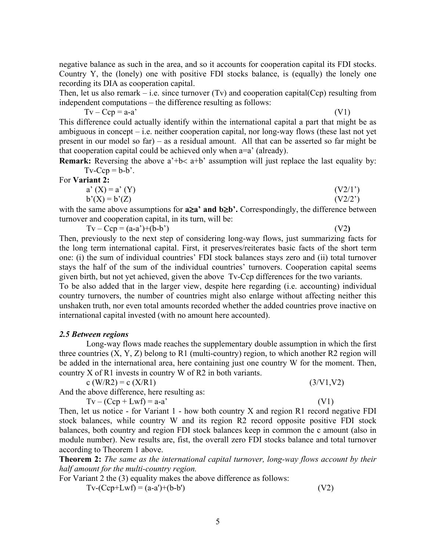negative balance as such in the area, and so it accounts for cooperation capital its FDI stocks. Country Y, the (lonely) one with positive FDI stocks balance, is (equally) the lonely one recording its DIA as cooperation capital.

Then, let us also remark – i.e. since turnover (Tv) and cooperation capital  $(Cep)$  resulting from independent computations – the difference resulting as follows:

 $Tv - Ccp = a-a'$  (V1)

This difference could actually identify within the international capital a part that might be as ambiguous in concept – i.e. neither cooperation capital, nor long-way flows (these last not yet present in our model so far) – as a residual amount. All that can be asserted so far might be that cooperation capital could be achieved only when a=a' (already).

**Remark:** Reversing the above  $a^+b < a^+b^*$  assumption will just replace the last equality by:  $Tv-Ccp = b-b$ .

For **Variant 2:** 

| $a' (X) = a' (Y)$ | (V2/1') |
|-------------------|---------|
| $b'(X) = b'(Z)$   | (V2/2)  |

with the same above assumptions for **a**≥**a' and b**≥**b'.** Correspondingly, the difference between turnover and cooperation capital, in its turn, will be:

Tv – Ccp = (a-a')+(b-b') (V2**)** 

Then, previously to the next step of considering long-way flows, just summarizing facts for the long term international capital. First, it preserves/reiterates basic facts of the short term one: (i) the sum of individual countries' FDI stock balances stays zero and (ii) total turnover stays the half of the sum of the individual countries' turnovers. Cooperation capital seems given birth, but not yet achieved, given the above Tv-Ccp differences for the two variants.

To be also added that in the larger view, despite here regarding (i.e. accounting) individual country turnovers, the number of countries might also enlarge without affecting neither this unshaken truth, nor even total amounts recorded whether the added countries prove inactive on international capital invested (with no amount here accounted).

## *2.5 Between regions*

Long-way flows made reaches the supplementary double assumption in which the first three countries  $(X, Y, Z)$  belong to R1 (multi-country) region, to which another R2 region will be added in the international area, here containing just one country W for the moment. Then, country X of R1 invests in country W of R2 in both variants.

c (W/R2) = c (X/R1) (3/V1,V2)

And the above difference, here resulting as:

$$
Tv - (Ccp + Lwf) = a-a'
$$
 (V1)

Then, let us notice - for Variant 1 - how both country X and region R1 record negative FDI stock balances, while country W and its region R2 record opposite positive FDI stock balances, both country and region FDI stock balances keep in common the c amount (also in module number). New results are, fist, the overall zero FDI stocks balance and total turnover according to Theorem 1 above.

**Theorem 2:** *The same as the international capital turnover, long-way flows account by their half amount for the multi-country region.* 

For Variant 2 the (3) equality makes the above difference as follows:  $Tv-(Ccp+Lwf) = (a-a')+(b-b')$  (V2)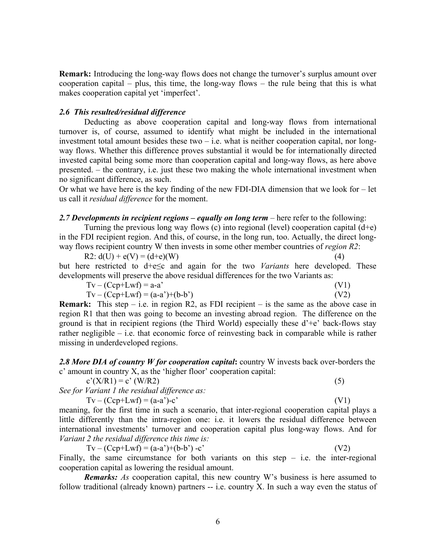**Remark:** Introducing the long-way flows does not change the turnover's surplus amount over cooperation capital – plus, this time, the long-way flows – the rule being that this is what makes cooperation capital yet 'imperfect'.

## *2.6 This resulted/residual difference*

Deducting as above cooperation capital and long-way flows from international turnover is, of course, assumed to identify what might be included in the international investment total amount besides these two  $-$  i.e. what is neither cooperation capital, nor longway flows. Whether this difference proves substantial it would be for internationally directed invested capital being some more than cooperation capital and long-way flows, as here above presented. – the contrary, i.e. just these two making the whole international investment when no significant difference, as such.

Or what we have here is the key finding of the new FDI-DIA dimension that we look for – let us call it *residual difference* for the moment.

## *2.7 Developments in recipient regions – equally on long term* – here refer to the following:

Turning the previous long way flows (c) into regional (level) cooperation capital  $(d+e)$ in the FDI recipient region. And this, of course, in the long run, too. Actually, the direct longway flows recipient country W then invests in some other member countries of *region R2*:

R2:  $d(U) + e(V) = (d+e)(W)$  (4) but here restricted to d+e≤c and again for the two *Variants* here developed. These developments will preserve the above residual differences for the two Variants as:

$$
Tv - (Ccp+Lwf) = a-a'
$$
\n
$$
Tv - (Ccp+Lwf) = (a-a')+(b-b')
$$
\n
$$
(V1)
$$
\n
$$
(V2)
$$

**Remark:** This step – i.e. in region R2, as FDI recipient – is the same as the above case in region R1 that then was going to become an investing abroad region. The difference on the ground is that in recipient regions (the Third World) especially these  $d^+e^+$  back-flows stay rather negligible – i.e. that economic force of reinvesting back in comparable while is rather missing in underdeveloped regions.

*2.8 More DIA of country W for cooperation capital***:** country W invests back over-borders the c' amount in country X, as the 'higher floor' cooperation capital:

$$
c'(X/R1) = c'(W/R2)
$$
 (5)

*See for Variant 1 the residual difference as:* 

$$
Tv - (Ccp+Lwf) = (a-a^2)-c^2
$$
 (V1)

meaning, for the first time in such a scenario, that inter-regional cooperation capital plays a little differently than the intra-region one: i.e. it lowers the residual difference between international investments' turnover and cooperation capital plus long-way flows. And for *Variant 2 the residual difference this time is:*

 $Tv - (Ccp+Lwf) = (a-a')+(b-b')-c'$  (V2) Finally, the same circumstance for both variants on this step  $-$  i.e. the inter-regional

cooperation capital as lowering the residual amount.

*Remarks: As* cooperation capital, this new country W's business is here assumed to follow traditional (already known) partners -- i.e. country X. In such a way even the status of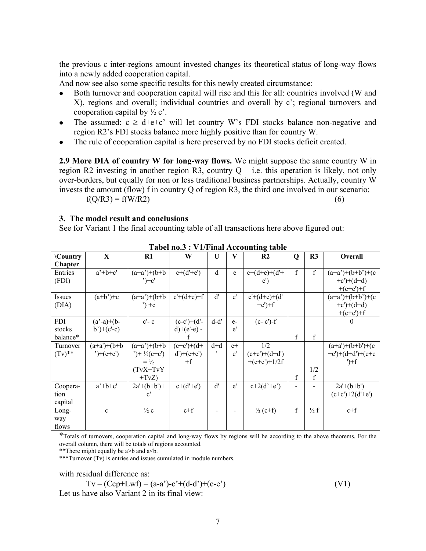the previous c inter-regions amount invested changes its theoretical status of long-way flows into a newly added cooperation capital.

And now see also some specific results for this newly created circumstance:

- Both turnover and cooperation capital will rise and this for all: countries involved (W and X), regions and overall; individual countries and overall by c'; regional turnovers and cooperation capital by  $\frac{1}{2}$  c'.
- The assumed:  $c \geq d+e+c'$  will let country W's FDI stocks balance non-negative and region R2's FDI stocks balance more highly positive than for country W.
- The rule of cooperation capital is here preserved by no FDI stocks deficit created.

**2.9 More DIA of country W for long-way flows.** We might suppose the same country W in region R2 investing in another region R3, country  $Q - i.e.$  this operation is likely, not only over-borders, but equally for non or less traditional business partnerships. Actually, country W invests the amount (flow) f in country Q of region R3, the third one involved in our scenario:  $f(Q/R3) = f(W/R2)$  (6)

## **3. The model result and conclusions**

See for Variant 1 the final accounting table of all transactions here above figured out:

| <b>\Country</b> | $\mathbf X$                  | $R1$                    | W             | U       | V    | R <sub>2</sub>      | $\mathbf Q$ | R <sub>3</sub>  | Overall                       |
|-----------------|------------------------------|-------------------------|---------------|---------|------|---------------------|-------------|-----------------|-------------------------------|
| Chapter         |                              |                         |               |         |      |                     |             |                 |                               |
| Entries         | $a'+b+c'$                    | $(a+a)+(b+b)$           | $c+(d'+e')$   | $\rm d$ | e    | $c+(d+e)+(d'+e)$    | $\mathbf f$ | $\mathbf f$     | $(a+a)+(b+b)+(c$              |
| (FDI)           |                              | $^{\prime})+c^{\prime}$ |               |         |      | $e^{\prime}$        |             |                 | $+c^{\prime})+(d+d)$          |
|                 |                              |                         |               |         |      |                     |             |                 | $+(e+e')+f$                   |
| Issues          | $(a+b')+c$                   | $(a+a)+(b+b)$           | $c'+(d+e)+f$  | ď       | e'   | $c'+(d+e)+(d'$      |             |                 | $(a+a)+(b+b)+(c$              |
| (DIA)           |                              | $\cdot$ ) +c            |               |         |      | $+e$ ') $+f$        |             |                 | $+c$ ')+(d+d)                 |
|                 |                              |                         |               |         |      |                     |             |                 | $+(e+e')+f$                   |
| <b>FDI</b>      | $(a'-a)+(b-$                 | $c'$ - $c$              | $(c-c')+(d'-$ | d-d'    | $e-$ | $(c - c') - f$      |             |                 | $\bf{0}$                      |
| stocks          | $b^{\prime})+(c^{\prime}-c)$ |                         | $d)+(e'-e)$ - |         | e'   |                     |             |                 |                               |
| balance*        |                              |                         |               |         |      |                     | f           | f               |                               |
| Turnover        | $(a+a)+(b+b)$                | $(a+a)+(b+b)$           | $(c+c')+(d+$  | $d+d$   | $e+$ | 1/2                 |             |                 | $(a+a')+(b+b')+(c)$           |
| $(Tv)$ **       | $^{\prime})+(c+c^{\prime})$  | ')+ $\frac{1}{2}(c+c')$ | $d'$ )+(e+e') |         | e'   | $(c+c)+(d+d)$       |             |                 | +c')+(d+d')+(e+e              |
|                 |                              | $=$ $\frac{1}{2}$       | $+f$          |         |      | $+(e+e')+1/2f$      |             |                 | $\rightarrow$                 |
|                 |                              | $(TvX+TvY)$             |               |         |      |                     |             | 1/2             |                               |
|                 |                              | $+TvZ$                  |               |         |      |                     | $\mathbf f$ | f               |                               |
| Coopera-        | $a'+b+c'$                    | $2a'+(b+b')+$           | $c+(d'+e')$   | ď       | e'   | $c+2(d'+e')$        | Ξ.          |                 | $2a^{\prime}+(b+b^{\prime})+$ |
| tion            |                              | $\mathbf{c}'$           |               |         |      |                     |             |                 | $(c+c')+2(d'+e')$             |
| capital         |                              |                         |               |         |      |                     |             |                 |                               |
| Long-           | $\mathbf c$                  | $\frac{1}{2}c$          | $c+f$         |         |      | $\frac{1}{2}$ (c+f) | $\mathbf f$ | $\frac{1}{2}$ f | $c+f$                         |
| way             |                              |                         |               |         |      |                     |             |                 |                               |
| flows           |                              |                         |               |         |      |                     |             |                 |                               |

**Tabel no.3 : V1/Final Accounting table**

\*Totals of turnovers, cooperation capital and long-way flows by regions will be according to the above theorems. For the overall column, there will be totals of regions accounted.

\*\*There might equally be a>b and a<br/>6.

\*\*\*Turnover (Tv) is entries and issues cumulated in module numbers.

with residual difference as:

$$
Tv - (Ccp+Lwf) = (a-a^*)-c^*+(d-d^*)+(e-e^*)
$$
  
Let us have also Variant 2 in its final view: (V1)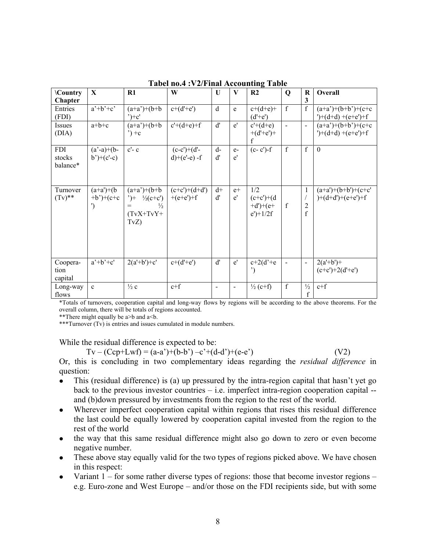| <b>\Country</b><br>Chapter       | $\mathbf X$                                    | R1                                                                                        | W                                | U              | $\mathbf{V}$             | R <sub>2</sub>                                       | Q              | $\mathbf R$<br>3                              | Overall                                      |
|----------------------------------|------------------------------------------------|-------------------------------------------------------------------------------------------|----------------------------------|----------------|--------------------------|------------------------------------------------------|----------------|-----------------------------------------------|----------------------------------------------|
| Entries<br>(FDI)                 | $a'+b'+c'$                                     | $(a+a)+(b+b)$<br>$^{\prime})+c^{\prime}$                                                  | $c+(d'+e')$                      | $\rm d$        | e                        | $c+(d+e)+$<br>$(d'+e')$                              | $\mathbf f$    | f                                             | $(a+a)+(b+b)+(c+c)$<br>')+(d+d) +(e+e')+f    |
| Issues<br>(DIA)                  | $a+b+c$                                        | $(a+a)+(b+b)$<br>$') + c$                                                                 | $c'+(d+e)+f$                     | d'             | e'                       | $c'+(d+e)$<br>$+(d'+e')+$                            | $\overline{a}$ | $\overline{a}$                                | $(a+a)+(b+b)+(c+c)$<br>')+(d+d) +(e+e')+f    |
| <b>FDI</b><br>stocks<br>balance* | $(a'-a)+(b-$<br>$b^{\prime}$ + (c'-c)          | $c'$ - $c$                                                                                | $(c-c')+(d'-$<br>$d)+(e'-e) - f$ | $d-$<br>d'     | $e-$<br>e'               | $(c - c') - f$                                       | $\mathbf f$    | $\mathbf f$                                   | $\theta$                                     |
| Turnover<br>$(Tv)$ **            | $(a+a')+(b)$<br>$+b$ ')+(c+c)<br>$\mathcal{L}$ | $(a+a)+(b+b)$<br>$')+$ $\frac{1}{2}(c+c')$<br>$\frac{1}{2}$<br>$=$<br>$(TvX+TvY+$<br>TvZ) | $(c+c')+(d+d')$<br>$+(e+e')+f$   | $d+$<br>ď      | $e+$<br>e'               | 1/2<br>$(c+c')+(d)$<br>$+d$ ')+(e+<br>$e$ ')+ $1/2f$ | f              | $\mathbf{1}$<br>$\overline{2}$<br>$\mathbf f$ | $(a+a')+(b+b')+(c+c')$<br>$)+(d+d)+(e+e')+f$ |
| Coopera-<br>tion<br>capital      | $a'+b'+c'$                                     | $2(a'+b')+c'$                                                                             | $c+(d'+e')$                      | d'             | e'                       | $c+2(d'+e)$<br>")                                    |                | $\overline{\phantom{a}}$                      | $2(a'+b')+$<br>$(c+c')+2(d'+e')$             |
| Long-way<br>flows                | $\mathbf{c}$                                   | $\frac{1}{2}c$                                                                            | $c+f$                            | $\blacksquare$ | $\overline{\phantom{a}}$ | $\frac{1}{2}$ (c+f)                                  | f              | $\frac{1}{2}$<br>f                            | $c+f$                                        |

**Tabel no.4 :V2/Final Accounting Table**

\*Totals of turnovers, cooperation capital and long-way flows by regions will be according to the above theorems. For the overall column, there will be totals of regions accounted.

\*\*There might equally be a>b and a<br/>6.

\*\*\*Turnover (Tv) is entries and issues cumulated in module numbers.

While the residual difference is expected to be:

 $Tv - (Ccp+Lwf) = (a-a')+(b-b')-c'+(d-d')+(e-e')$  (V2) Or, this is concluding in two complementary ideas regarding the *residual difference* in question:

- This (residual difference) is (a) up pressured by the intra-region capital that hasn't yet go back to the previous investor countries – i.e. imperfect intra-region cooperation capital -and (b)down pressured by investments from the region to the rest of the world.
- Wherever imperfect cooperation capital within regions that rises this residual difference the last could be equally lowered by cooperation capital invested from the region to the rest of the world
- the way that this same residual difference might also go down to zero or even become negative number.
- These above stay equally valid for the two types of regions picked above. We have chosen in this respect:
- Variant  $1 -$  for some rather diverse types of regions: those that become investor regions e.g. Euro-zone and West Europe – and/or those on the FDI recipients side, but with some